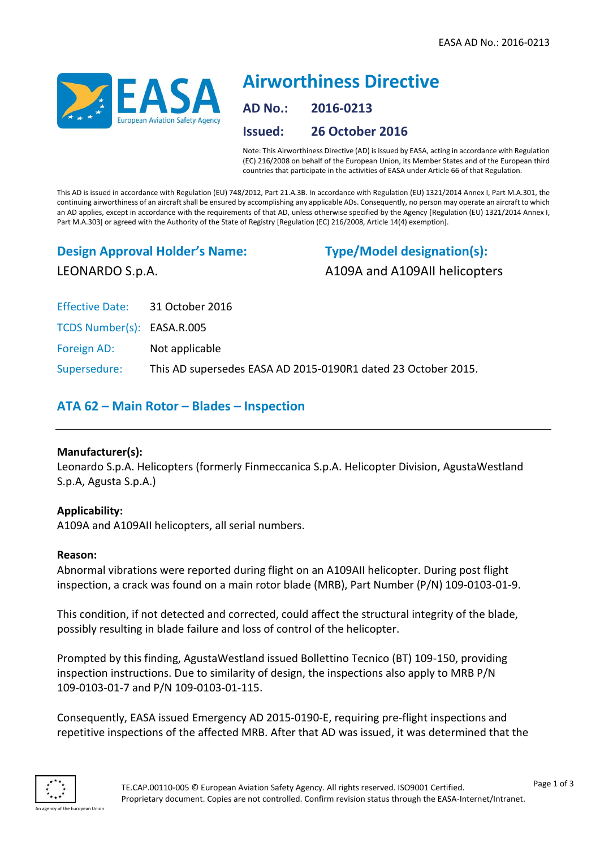

# **Airworthiness Directive AD No.: 2016-0213 Issued: 26 October 2016**

Note: This Airworthiness Directive (AD) is issued by EASA, acting in accordance with Regulation (EC) 216/2008 on behalf of the European Union, its Member States and of the European third countries that participate in the activities of EASA under Article 66 of that Regulation.

This AD is issued in accordance with Regulation (EU) 748/2012, Part 21.A.3B. In accordance with Regulation (EU) 1321/2014 Annex I, Part M.A.301, the continuing airworthiness of an aircraft shall be ensured by accomplishing any applicable ADs. Consequently, no person may operate an aircraft to which an AD applies, except in accordance with the requirements of that AD, unless otherwise specified by the Agency [Regulation (EU) 1321/2014 Annex I, Part M.A.303] or agreed with the Authority of the State of Registry [Regulation (EC) 216/2008, Article 14(4) exemption].

## **Design Approval Holder's Name:** LEONARDO S.p.A.

**Type/Model designation(s):** A109A and A109AII helicopters

Effective Date: 31 October 2016

TCDS Number(s): EASA.R.005

Foreign AD: Not applicable

Supersedure: This AD supersedes EASA AD 2015-0190R1 dated 23 October 2015.

### **ATA 62 – Main Rotor – Blades – Inspection**

#### **Manufacturer(s):**

Leonardo S.p.A. Helicopters (formerly Finmeccanica S.p.A. Helicopter Division, AgustaWestland S.p.A, Agusta S.p.A.)

#### **Applicability:**

A109A and A109AII helicopters, all serial numbers.

#### **Reason:**

Abnormal vibrations were reported during flight on an A109AII helicopter. During post flight inspection, a crack was found on a main rotor blade (MRB), Part Number (P/N) 109-0103-01-9.

This condition, if not detected and corrected, could affect the structural integrity of the blade, possibly resulting in blade failure and loss of control of the helicopter.

Prompted by this finding, AgustaWestland issued Bollettino Tecnico (BT) 109-150, providing inspection instructions. Due to similarity of design, the inspections also apply to MRB P/N 109-0103-01-7 and P/N 109-0103-01-115.

Consequently, EASA issued Emergency AD 2015-0190-E, requiring pre-flight inspections and repetitive inspections of the affected MRB. After that AD was issued, it was determined that the



Page 1 of 3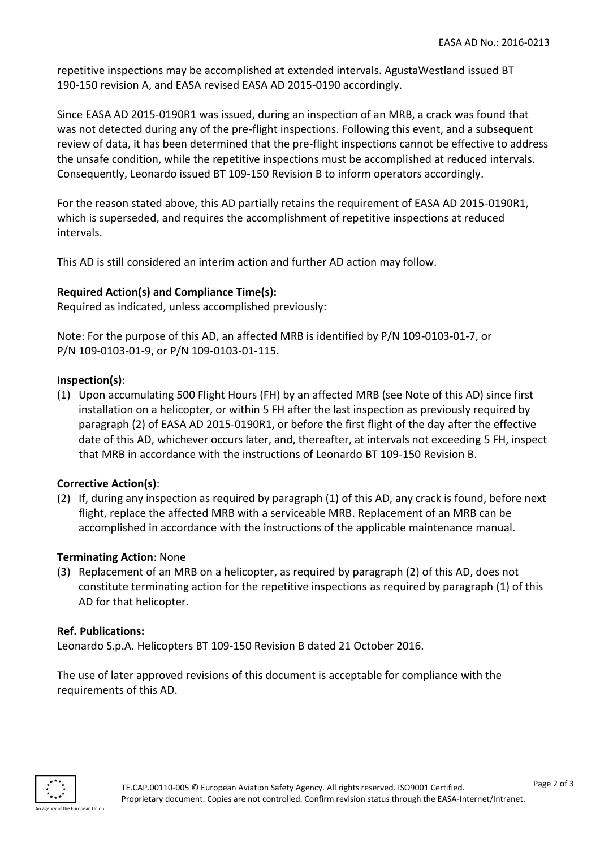repetitive inspections may be accomplished at extended intervals. AgustaWestland issued BT 190-150 revision A, and EASA revised EASA AD 2015-0190 accordingly.

Since EASA AD 2015-0190R1 was issued, during an inspection of an MRB, a crack was found that was not detected during any of the pre-flight inspections. Following this event, and a subsequent review of data, it has been determined that the pre-flight inspections cannot be effective to address the unsafe condition, while the repetitive inspections must be accomplished at reduced intervals. Consequently, Leonardo issued BT 109-150 Revision B to inform operators accordingly.

For the reason stated above, this AD partially retains the requirement of EASA AD 2015-0190R1, which is superseded, and requires the accomplishment of repetitive inspections at reduced intervals.

This AD is still considered an interim action and further AD action may follow.

#### **Required Action(s) and Compliance Time(s):**

Required as indicated, unless accomplished previously:

Note: For the purpose of this AD, an affected MRB is identified by P/N 109-0103-01-7, or P/N 109-0103-01-9, or P/N 109-0103-01-115.

#### **Inspection(s)**:

(1) Upon accumulating 500 Flight Hours (FH) by an affected MRB (see Note of this AD) since first installation on a helicopter, or within 5 FH after the last inspection as previously required by paragraph (2) of EASA AD 2015-0190R1, or before the first flight of the day after the effective date of this AD, whichever occurs later, and, thereafter, at intervals not exceeding 5 FH, inspect that MRB in accordance with the instructions of Leonardo BT 109-150 Revision B.

#### **Corrective Action(s)**:

(2) If, during any inspection as required by paragraph (1) of this AD, any crack is found, before next flight, replace the affected MRB with a serviceable MRB. Replacement of an MRB can be accomplished in accordance with the instructions of the applicable maintenance manual.

#### **Terminating Action**: None

(3) Replacement of an MRB on a helicopter, as required by paragraph (2) of this AD, does not constitute terminating action for the repetitive inspections as required by paragraph (1) of this AD for that helicopter.

#### **Ref. Publications:**

Leonardo S.p.A. Helicopters BT 109-150 Revision B dated 21 October 2016.

The use of later approved revisions of this document is acceptable for compliance with the requirements of this AD.